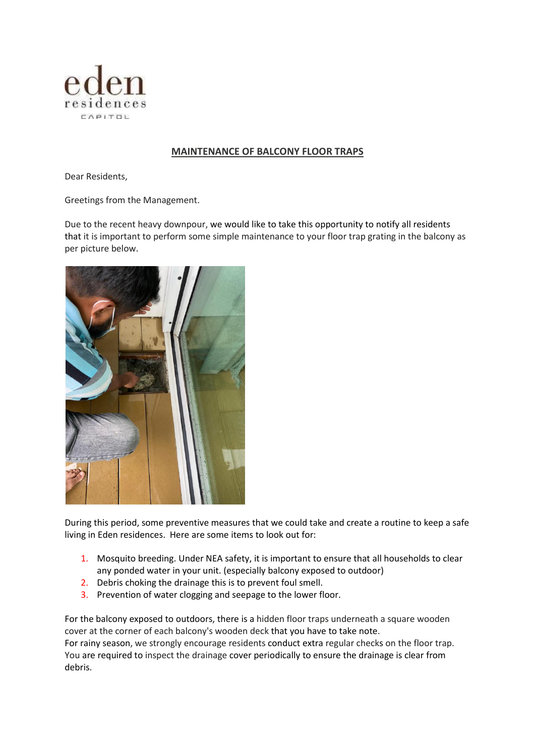

## **MAINTENANCE OF BALCONY FLOOR TRAPS**

Dear Residents,

Greetings from the Management.

Due to the recent heavy downpour, we would like to take this opportunity to notify all residents that it is important to perform some simple maintenance to your floor trap grating in the balcony as per picture below.



During this period, some preventive measures that we could take and create a routine to keep a safe living in Eden residences. Here are some items to look out for:

- 1. Mosquito breeding. Under NEA safety, it is important to ensure that all households to clear any ponded water in your unit. (especially balcony exposed to outdoor)
- 2. Debris choking the drainage this is to prevent foul smell.
- 3. Prevention of water clogging and seepage to the lower floor.

For the balcony exposed to outdoors, there is a hidden floor traps underneath a square wooden cover at the corner of each balcony's wooden deck that you have to take note. For rainy season, we strongly encourage residents conduct extra regular checks on the floor trap. You are required to inspect the drainage cover periodically to ensure the drainage is clear from debris.